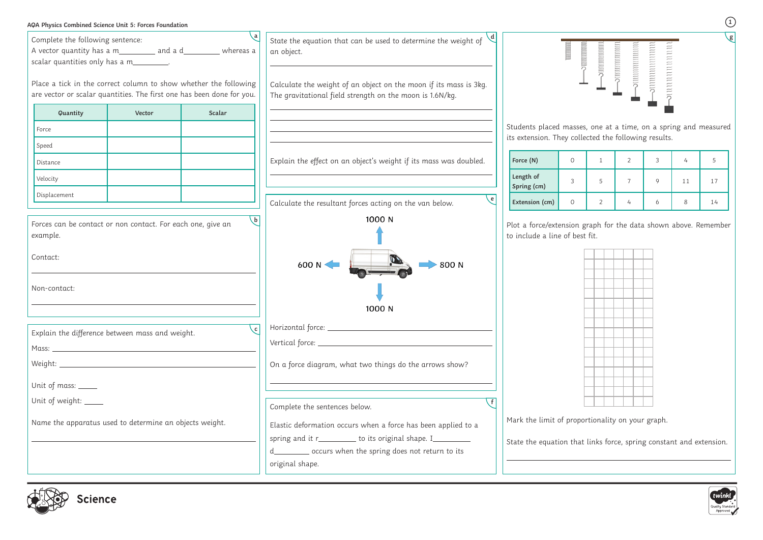| AQA Physics Combined Science Unit 5: Forces Foundation                                                                                             |        |        |                                                                                                                                                                                                                   |                                                   |                                                                                                                                                                                                                                                                                                                                                                                                                                                                                                               |
|----------------------------------------------------------------------------------------------------------------------------------------------------|--------|--------|-------------------------------------------------------------------------------------------------------------------------------------------------------------------------------------------------------------------|---------------------------------------------------|---------------------------------------------------------------------------------------------------------------------------------------------------------------------------------------------------------------------------------------------------------------------------------------------------------------------------------------------------------------------------------------------------------------------------------------------------------------------------------------------------------------|
| Complete the following sentence:<br>A vector quantity has a m___________ and a d___________ whereas a<br>scalar quantities only has a m__________. |        |        | State the equation that can be used to determine the weight of<br>an object.                                                                                                                                      |                                                   | $\begin{minipage}{0.4\linewidth} \begin{tabular}{ c c c } \hline \multicolumn{3}{ c }{\textbf{matrix}} & \multicolumn{3}{ c }{\textbf{matrix}} \\ \hline \multicolumn{3}{ c }{\textbf{matrix}} & \multicolumn{3}{ c }{\textbf{matrix}} \\ \hline \multicolumn{3}{ c }{\textbf{matrix}} & \multicolumn{3}{ c }{\textbf{matrix}} \\ \hline \multicolumn{3}{ c }{\textbf{matrix}} & \multicolumn{3}{ c }{\textbf{matrix}} \\ \hline \multicolumn{3}{ c }{\textbf{matrix}} & \multicolumn{3}{ c }{\textbf{matrix$ |
| Place a tick in the correct column to show whether the following<br>are vector or scalar quantities. The first one has been done for you.          |        |        | Calculate the weight of an object on the moon if its mass is 3kg.<br>The gravitational field strength on the moon is 1.6N/kg.                                                                                     |                                                   |                                                                                                                                                                                                                                                                                                                                                                                                                                                                                                               |
| Quantity                                                                                                                                           | Vector | Scalar |                                                                                                                                                                                                                   |                                                   |                                                                                                                                                                                                                                                                                                                                                                                                                                                                                                               |
| Force                                                                                                                                              |        |        |                                                                                                                                                                                                                   | Students placed mass                              |                                                                                                                                                                                                                                                                                                                                                                                                                                                                                                               |
| Speed                                                                                                                                              |        |        |                                                                                                                                                                                                                   | its extension. They col                           |                                                                                                                                                                                                                                                                                                                                                                                                                                                                                                               |
| Distance                                                                                                                                           |        |        | Explain the effect on an object's weight if its mass was doubled.                                                                                                                                                 | Force (N)                                         | $\circ$                                                                                                                                                                                                                                                                                                                                                                                                                                                                                                       |
| Velocity                                                                                                                                           |        |        |                                                                                                                                                                                                                   | Length of<br>Spring (cm)                          | 3                                                                                                                                                                                                                                                                                                                                                                                                                                                                                                             |
| Displacement                                                                                                                                       |        |        | $\epsilon$<br>Calculate the resultant forces acting on the van below.                                                                                                                                             | Extension (cm)                                    | $\circ$                                                                                                                                                                                                                                                                                                                                                                                                                                                                                                       |
| Forces can be contact or non contact. For each one, give an<br>example.<br>Contact:<br>Non-contact:                                                |        |        | 1000 N<br>600 N ·<br>800 N<br>1000 N                                                                                                                                                                              | Plot a force/extension<br>to include a line of be |                                                                                                                                                                                                                                                                                                                                                                                                                                                                                                               |
| Explain the difference between mass and weight.                                                                                                    |        | c      |                                                                                                                                                                                                                   |                                                   |                                                                                                                                                                                                                                                                                                                                                                                                                                                                                                               |
|                                                                                                                                                    |        |        |                                                                                                                                                                                                                   |                                                   |                                                                                                                                                                                                                                                                                                                                                                                                                                                                                                               |
|                                                                                                                                                    |        |        | On a force diagram, what two things do the arrows show?                                                                                                                                                           |                                                   |                                                                                                                                                                                                                                                                                                                                                                                                                                                                                                               |
| Unit of mass: ____                                                                                                                                 |        |        | and the control of the control of the control of the control of the control of the control of the control of the                                                                                                  |                                                   |                                                                                                                                                                                                                                                                                                                                                                                                                                                                                                               |
| Unit of weight: ____                                                                                                                               |        |        | Complete the sentences below.                                                                                                                                                                                     |                                                   |                                                                                                                                                                                                                                                                                                                                                                                                                                                                                                               |
| Name the apparatus used to determine an objects weight.                                                                                            |        |        |                                                                                                                                                                                                                   | Mark the limit of prop                            |                                                                                                                                                                                                                                                                                                                                                                                                                                                                                                               |
|                                                                                                                                                    |        |        | Elastic deformation occurs when a force has been applied to a<br>spring and it r____________ to its original shape. I___________<br>d___________ occurs when the spring does not return to its<br>original shape. | State the equation tha                            |                                                                                                                                                                                                                                                                                                                                                                                                                                                                                                               |



**1 g**



 $s$ es, one at a time, on a spring and measured illected the following results.

| Force (N)                |   |   |  |    |    |
|--------------------------|---|---|--|----|----|
| Length of<br>Spring (cm) | 3 | 5 |  | 11 | 17 |
| Extension (cm)           |   |   |  |    | 14 |

graph for the data shown above. Remember est fit.



portionality on your graph.

at links force, spring constant and extension.

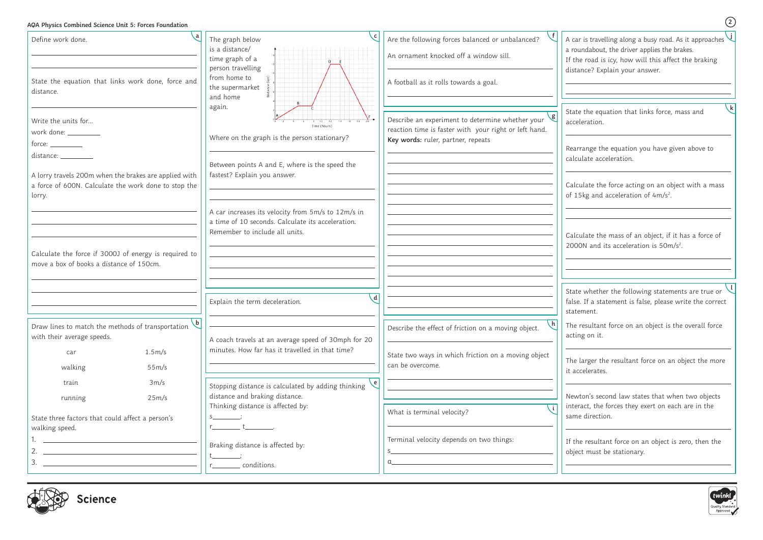## **AQA Physics Combined Science Unit 5: Forces Foundation**

**2**

| $\mathbf{a}$<br>Define work done.                                                                                       | The graph below<br>is a distance/<br>time graph of a<br>person travelling                                                                 | Are the following forces balanced or unbalanced?<br>An ornament knocked off a window sill.                              | A car is travelling along a busy road. As it approaches $\bigcup$<br>a roundabout, the driver applies the brakes.<br>If the road is icy, how will this affect the braking |
|-------------------------------------------------------------------------------------------------------------------------|-------------------------------------------------------------------------------------------------------------------------------------------|-------------------------------------------------------------------------------------------------------------------------|---------------------------------------------------------------------------------------------------------------------------------------------------------------------------|
| State the equation that links work done, force and<br>distance.                                                         | from home to<br>the supermarket<br>and home                                                                                               | A football as it rolls towards a goal.                                                                                  | distance? Explain your answer.                                                                                                                                            |
| Write the units for<br>work done: ________                                                                              | again.<br>Time (hours)<br>Where on the graph is the person stationary?                                                                    | Describe an experiment to determine whether your $\setminus$ g<br>reaction time is faster with your right or left hand. | State the equation that links force, mass and<br>acceleration.                                                                                                            |
| $force: \_\_\_\_\_\_\_$<br>distance: __________                                                                         | Between points A and E, where is the speed the                                                                                            | Key words: ruler, partner, repeats                                                                                      | Rearrange the equation you have given above to<br>calculate acceleration.                                                                                                 |
| A lorry travels 200m when the brakes are applied with<br>a force of 600N. Calculate the work done to stop the<br>lorry. | fastest? Explain you answer.                                                                                                              |                                                                                                                         | Calculate the force acting on an object with a mass<br>of 15kg and acceleration of 4m/s <sup>2</sup> .                                                                    |
|                                                                                                                         | A car increases its velocity from 5m/s to 12m/s in<br>a time of 10 seconds. Calculate its acceleration.<br>Remember to include all units. |                                                                                                                         | Calculate the mass of an object, if it has a force of<br>2000N and its acceleration is 50m/s <sup>2</sup> .                                                               |
| Calculate the force if 3000J of energy is required to<br>move a box of books a distance of 150cm.                       |                                                                                                                                           |                                                                                                                         |                                                                                                                                                                           |
|                                                                                                                         | $\mathbf{d}$<br>Explain the term deceleration.                                                                                            |                                                                                                                         | State whether the following statements are true or<br>false. If a statement is false, please write the correct<br>statement.                                              |
| b <br>Draw lines to match the methods of transportation<br>with their average speeds.                                   | A coach travels at an average speed of 30mph for 20                                                                                       | Describe the effect of friction on a moving object.                                                                     | The resultant force on an object is the overall force<br>acting on it.                                                                                                    |
| 1.5m/s<br>car<br>walking<br>55m/s                                                                                       | minutes. How far has it travelled in that time?                                                                                           | State two ways in which friction on a moving object<br>can be overcome.                                                 | The larger the resultant force on an object the more<br>it accelerates.                                                                                                   |
| 3m/s<br>train<br>25m/s<br>running                                                                                       | $\epsilon$  <br>Stopping distance is calculated by adding thinking<br>distance and braking distance.<br>Thinking distance is affected by: |                                                                                                                         | Newton's second law states that when two objects<br>interact, the forces they exert on each are in the                                                                    |
| State three factors that could affect a person's<br>walking speed.                                                      |                                                                                                                                           | What is terminal velocity?                                                                                              | same direction.                                                                                                                                                           |
| <u> 1989 - Johann Stoff, Amerikaansk politiker (</u>                                                                    | Braking distance is affected by:<br>conditions.                                                                                           | Terminal velocity depends on two things:                                                                                | If the resultant force on an object is zero, then the<br>object must be stationary.                                                                                       |



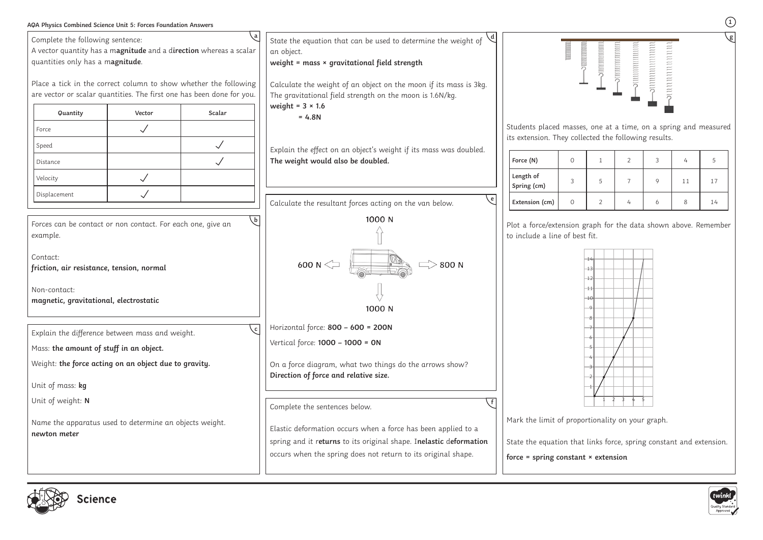**1**







| AQA Physics Combined Science Unit 5: Forces Foundation Answers                                                                                                                             |        |                       |                                                                                                                                                                                                      |                                                                                                                   |                     |         |                      |             |    |    |  |
|--------------------------------------------------------------------------------------------------------------------------------------------------------------------------------------------|--------|-----------------------|------------------------------------------------------------------------------------------------------------------------------------------------------------------------------------------------------|-------------------------------------------------------------------------------------------------------------------|---------------------|---------|----------------------|-------------|----|----|--|
| Complete the following sentence:<br>A vector quantity has a magnitude and a direction whereas a scalar<br>quantities only has a magnitude.                                                 |        |                       | State the equation that can be used to determine the weight of<br>an object.<br>weight = $mass \times gravitational$ field strength                                                                  |                                                                                                                   | <b>UNUINININING</b> | nummmmm | nnnnnnnn<br>annunnun |             |    |    |  |
| Place a tick in the correct column to show whether the following<br>are vector or scalar quantities. The first one has been done for you.                                                  |        |                       | Calculate the weight of an object on the moon if its mass is 3kg.<br>The gravitational field strength on the moon is 1.6N/kg.                                                                        |                                                                                                                   |                     |         |                      |             |    |    |  |
| Quantity                                                                                                                                                                                   | Vector | Scalar                | weight = $3 \times 1.6$<br>$= 4.8N$                                                                                                                                                                  |                                                                                                                   |                     |         |                      |             |    |    |  |
| Force                                                                                                                                                                                      |        |                       |                                                                                                                                                                                                      | Students placed masses, one at a time, on a spring and measured                                                   |                     |         |                      |             |    |    |  |
| Speed                                                                                                                                                                                      |        | $\checkmark$          | Explain the effect on an object's weight if its mass was doubled.                                                                                                                                    | its extension. They collected the following results.                                                              |                     |         |                      |             |    |    |  |
| Distance                                                                                                                                                                                   |        | $\checkmark$          | The weight would also be doubled.                                                                                                                                                                    | Force (N)                                                                                                         | $\Omega$            |         | 2                    | 3           |    |    |  |
| Velocity                                                                                                                                                                                   |        |                       |                                                                                                                                                                                                      | Length of<br>Spring (cm)                                                                                          | 3                   | 5       |                      | $\mathsf Q$ | 11 | 17 |  |
| Displacement                                                                                                                                                                               |        |                       | Calculate the resultant forces acting on the van below.                                                                                                                                              | Extension (cm)                                                                                                    | $\Omega$            |         |                      | h           | 8  | 14 |  |
| Forces can be contact or non contact. For each one, give an<br>example.<br>Contact:<br>friction, air resistance, tension, normal<br>Non-contact:<br>magnetic, gravitational, electrostatic |        | $\mathsf{b}$          | 1000 N<br>600 N $\leq$<br>$>800$ N<br>1000 N                                                                                                                                                         | Plot a force/extension graph for the data shown above. Remember<br>to include a line of best fit.                 |                     | 13      |                      |             |    |    |  |
| Explain the difference between mass and weight.<br>Mass: the amount of stuff in an object.<br>Weight: the force acting on an object due to gravity.<br>Unit of mass: kg                    |        | $\mathcal{C}$ $\vert$ | Horizontal force: 800 - 600 = 200N<br>Vertical force: 1000 - 1000 = 0N<br>On a force diagram, what two things do the arrows show?<br>Direction of force and relative size.                           |                                                                                                                   |                     |         |                      |             |    |    |  |
| Unit of weight: N                                                                                                                                                                          |        |                       | Complete the sentences below.                                                                                                                                                                        | Mark the limit of proportionality on your graph.                                                                  |                     |         |                      |             |    |    |  |
| Name the apparatus used to determine an objects weight.<br>newton meter                                                                                                                    |        |                       | Elastic deformation occurs when a force has been applied to a<br>spring and it returns to its original shape. Inelastic deformation<br>occurs when the spring does not return to its original shape. | State the equation that links force, spring constant and extension.<br>force = spring constant $\times$ extension |                     |         |                      |             |    |    |  |